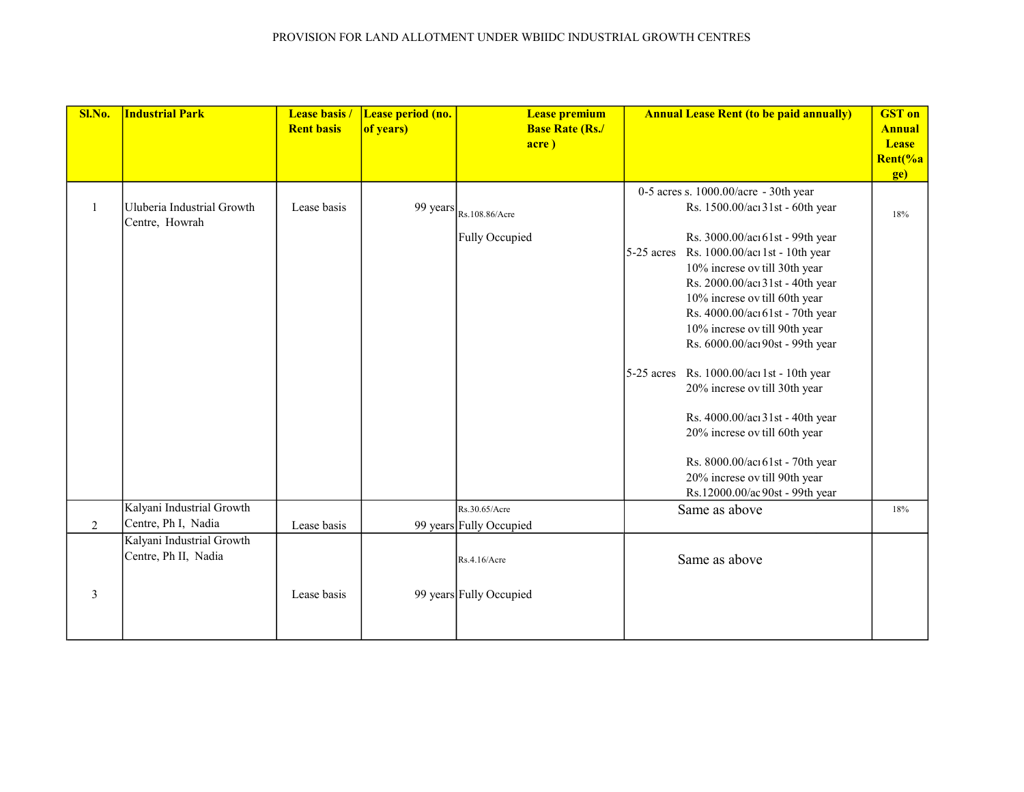| Sl.No. | <b>Industrial Park</b>                            | <b>Lease basis /</b><br><b>Rent basis</b> | Lease period (no.<br>of years) | <b>Lease premium</b><br><b>Base Rate (Rs./</b><br>acre) | <b>Annual Lease Rent (to be paid annually)</b>                                                                                                                                                                                                                                                                                                                                                                                                                                                                                                                                                                                                  | <b>GST</b> on<br><b>Annual</b><br><b>Lease</b><br>Rent(%a<br>ge) |
|--------|---------------------------------------------------|-------------------------------------------|--------------------------------|---------------------------------------------------------|-------------------------------------------------------------------------------------------------------------------------------------------------------------------------------------------------------------------------------------------------------------------------------------------------------------------------------------------------------------------------------------------------------------------------------------------------------------------------------------------------------------------------------------------------------------------------------------------------------------------------------------------------|------------------------------------------------------------------|
| 1      | Uluberia Industrial Growth<br>Centre, Howrah      | Lease basis                               |                                | 99 years $_{\text{Rs.108.86/Acc}}$<br>Fully Occupied    | 0-5 acres s. 1000.00/acre - 30th year<br>Rs. 1500.00/acı 31st - 60th year<br>Rs. 3000.00/acı 61st - 99th year<br>Rs. 1000.00/acı 1st - 10th year<br>$5-25$ acres<br>10% increse ov till 30th year<br>Rs. 2000.00/acı 31st - 40th year<br>10% increse ov till 60th year<br>Rs. 4000.00/acı 61st - 70th year<br>10% increse ov till 90th year<br>Rs. 6000.00/acı90st - 99th year<br>Rs. 1000.00/acı 1st - 10th year<br>$5-25$ acres<br>20% increse ov till 30th year<br>Rs. 4000.00/acı 31st - 40th year<br>20% increse ov till 60th year<br>Rs. 8000.00/acı 61st - 70th year<br>20% increse ov till 90th year<br>Rs.12000.00/ac 90st - 99th year | 18%                                                              |
| 2      | Kalyani Industrial Growth<br>Centre, Ph I, Nadia  | Lease basis                               |                                | Rs.30.65/Acre<br>99 years Fully Occupied                | Same as above                                                                                                                                                                                                                                                                                                                                                                                                                                                                                                                                                                                                                                   | 18%                                                              |
| 3      | Kalyani Industrial Growth<br>Centre, Ph II, Nadia | Lease basis                               |                                | Rs.4.16/Acre<br>99 years Fully Occupied                 | Same as above                                                                                                                                                                                                                                                                                                                                                                                                                                                                                                                                                                                                                                   |                                                                  |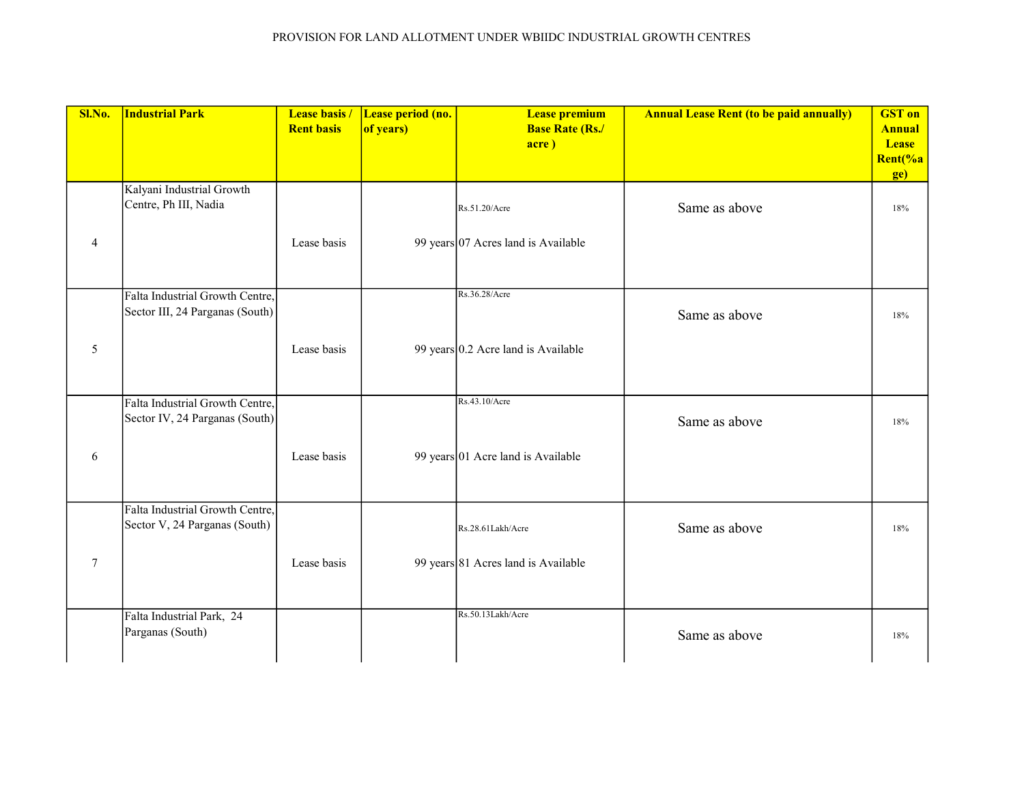| Sl.No.          | <b>Industrial Park</b>                                             | Lease basis /<br><b>Rent basis</b> | Lease period (no.<br>of years) | <b>Lease premium</b><br><b>Base Rate (Rs./</b><br>acre) | <b>Annual Lease Rent (to be paid annually)</b> | <b>GST</b> on<br><b>Annual</b><br><b>Lease</b><br>Rent(%a<br>ge) |
|-----------------|--------------------------------------------------------------------|------------------------------------|--------------------------------|---------------------------------------------------------|------------------------------------------------|------------------------------------------------------------------|
|                 | Kalyani Industrial Growth<br>Centre, Ph III, Nadia                 |                                    |                                | Rs.51.20/Acre                                           | Same as above                                  | 18%                                                              |
| $\overline{4}$  |                                                                    | Lease basis                        |                                | 99 years 07 Acres land is Available                     |                                                |                                                                  |
|                 | Falta Industrial Growth Centre,<br>Sector III, 24 Parganas (South) |                                    |                                | Rs.36.28/Acre                                           | Same as above                                  | 18%                                                              |
| 5               |                                                                    | Lease basis                        |                                | 99 years $0.2$ Acre land is Available                   |                                                |                                                                  |
|                 | Falta Industrial Growth Centre,<br>Sector IV, 24 Parganas (South)  |                                    |                                | Rs.43.10/Acre                                           | Same as above                                  | 18%                                                              |
| 6               |                                                                    | Lease basis                        |                                | 99 years 01 Acre land is Available                      |                                                |                                                                  |
|                 | Falta Industrial Growth Centre,<br>Sector V, 24 Parganas (South)   |                                    |                                | Rs.28.61Lakh/Acre                                       | Same as above                                  | 18%                                                              |
| $7\phantom{.0}$ |                                                                    | Lease basis                        |                                | 99 years 81 Acres land is Available                     |                                                |                                                                  |
|                 | Falta Industrial Park, 24<br>Parganas (South)                      |                                    |                                | Rs.50.13Lakh/Acre                                       | Same as above                                  | 18%                                                              |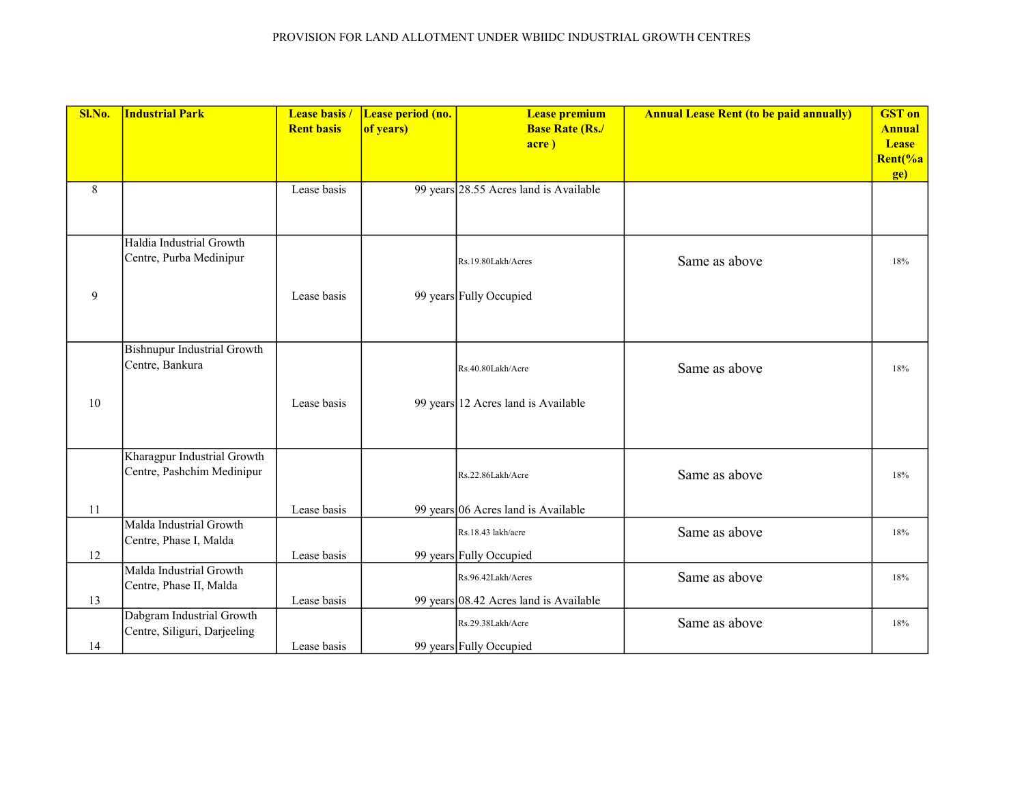| Sl.No. | <b>Industrial Park</b>                                    | <b>Lease basis /</b> | Lease period (no. | <b>Lease premium</b>                   | <b>Annual Lease Rent (to be paid annually)</b> | <b>GST</b> on |
|--------|-----------------------------------------------------------|----------------------|-------------------|----------------------------------------|------------------------------------------------|---------------|
|        |                                                           | <b>Rent basis</b>    | of years)         | <b>Base Rate (Rs./</b>                 |                                                | <b>Annual</b> |
|        |                                                           |                      |                   | acre)                                  |                                                | <b>Lease</b>  |
|        |                                                           |                      |                   |                                        |                                                | Rent(%a       |
|        |                                                           |                      |                   |                                        |                                                | ge)           |
| 8      |                                                           | Lease basis          |                   | 99 years 28.55 Acres land is Available |                                                |               |
|        |                                                           |                      |                   |                                        |                                                |               |
|        |                                                           |                      |                   |                                        |                                                |               |
|        | Haldia Industrial Growth                                  |                      |                   |                                        |                                                |               |
|        | Centre, Purba Medinipur                                   |                      |                   | Rs.19.80Lakh/Acres                     | Same as above                                  | 18%           |
|        |                                                           |                      |                   |                                        |                                                |               |
| 9      |                                                           | Lease basis          |                   | 99 years Fully Occupied                |                                                |               |
|        |                                                           |                      |                   |                                        |                                                |               |
|        |                                                           |                      |                   |                                        |                                                |               |
|        | <b>Bishnupur Industrial Growth</b>                        |                      |                   |                                        |                                                |               |
|        | Centre, Bankura                                           |                      |                   | Rs.40.80Lakh/Acre                      | Same as above                                  | 18%           |
|        |                                                           |                      |                   |                                        |                                                |               |
| 10     |                                                           | Lease basis          |                   | 99 years 12 Acres land is Available    |                                                |               |
|        |                                                           |                      |                   |                                        |                                                |               |
|        |                                                           |                      |                   |                                        |                                                |               |
|        | Kharagpur Industrial Growth                               |                      |                   |                                        |                                                |               |
|        | Centre, Pashchim Medinipur                                |                      |                   | Rs.22.86Lakh/Acre                      | Same as above                                  | 18%           |
|        |                                                           |                      |                   |                                        |                                                |               |
| $11\,$ |                                                           | Lease basis          |                   | 99 years 06 Acres land is Available    |                                                |               |
|        | Malda Industrial Growth                                   |                      |                   |                                        |                                                |               |
|        | Centre, Phase I, Malda                                    |                      |                   | Rs.18.43 lakh/acre                     | Same as above                                  | 18%           |
| 12     |                                                           | Lease basis          |                   | 99 years Fully Occupied                |                                                |               |
|        | Malda Industrial Growth                                   |                      |                   | Rs.96.42Lakh/Acres                     | Same as above                                  | 18%           |
|        | Centre, Phase II, Malda                                   |                      |                   |                                        |                                                |               |
| 13     |                                                           | Lease basis          |                   | 99 years 08.42 Acres land is Available |                                                |               |
|        | Dabgram Industrial Growth<br>Centre, Siliguri, Darjeeling |                      |                   | Rs.29.38Lakh/Acre                      | Same as above                                  | 18%           |
| 14     |                                                           | Lease basis          |                   | 99 years Fully Occupied                |                                                |               |
|        |                                                           |                      |                   |                                        |                                                |               |